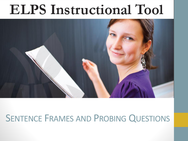# **ELPS** Instructional Tool



### SENTENCE FRAMES AND PROBING QUESTIONS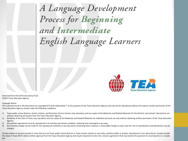A Language Development<br>Process for **Beginning**<br>and **Intermediate** English Language Learners



Extracted from the ELPS Instructional Tool ©2012 Texas Education Agency

Copyright Notice

The materials found in this document are copyrighted © and trademarked ™ as the property of the Texas Education Agency and may not be reproduced without the express written permission of the Texas Education Agency, except under the following conditions:

- 1) Texas public school districts, charter schools, and Education Service Centers may reproduce and use copies of the Materials and Related Materials for the districts' and schools' educational use without obtaining permission from the Texas Education Agency;
- 2) Residents of the state of Texas may reproduce and use copies of the Materials and Related Materials for individual personal use only without obtaining written permission of the Texas Education Agency;
- 3) Any portion reproduced must be reproduced in its entirety and remain unedited, unaltered and unchanged in any way;
- 4) No monetary charge can be made for the reproduced materials or any document containing them; however, a reasonable charge to cover only the cost of reproduction and distribution may be charged.

Private entities or persons located in Texas that are not Texas public school districts or Texas charter schools or any entity, whether public or private, educational or non-educational, located outside the state of Texas MUST obtain written approval from the Texas Education Agency and may be required to enter into a license agreement that may involve the payment of a licensing fee or a royalty fee.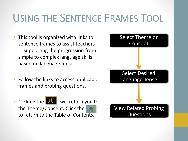## USING THE SENTENCE FRAMES TOOL

- This tool is organized with links to sentence frames to assist teachers in supporting the progression from simple to complex language skills based on language tense.
- Follow the links to access applicable frames and probing questions.
- •Clicking the  $\bigcup_{n=1}^{\infty}$  will return you to the Theme/Concept. Click the to return to the Table of Cont[ents.](#page-4-0)

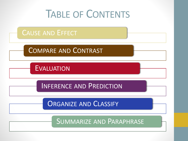<span id="page-3-0"></span>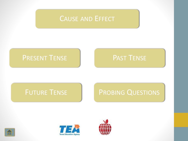### CAUSE AND E[FFECT](#page-3-0)

### P[RESENT](#page-10-0) T[ENSE](#page-11-0) | PAST TENSE

<span id="page-4-0"></span>



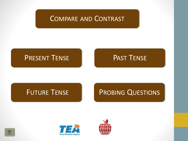### COMPARE AND C[ONTRAST](#page-3-0)

### P[RESENT](#page-3-0) T[ENSE](#page-3-0) | PAST TENSE

<span id="page-5-0"></span>



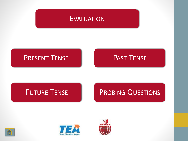

### P[RESENT](#page-3-0) T[ENSE](#page-3-0) | | PAST TENSE

<span id="page-6-0"></span>



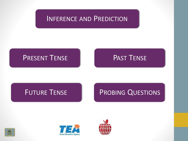### INFERENCE AND P[REDICTION](#page-3-0)

### P[RESENT](#page-3-0) T[ENSE](#page-3-0) | PAST TENSE

<span id="page-7-0"></span>



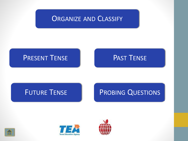### O[RGANIZE](#page-3-0) AND CLASSIFY

### P[RESENT](#page-3-0) T[ENSE](#page-3-0) | PAST TENSE

<span id="page-8-0"></span>



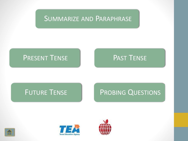### SUMMARIZE AND P[ARAPHRASE](#page-3-0)

### P[RESENT](#page-3-0) T[ENSE](#page-3-0) | PAST TENSE

<span id="page-9-0"></span>



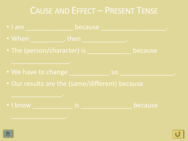## CAUSE AND EFFECT – PRESENT TENSE



<span id="page-10-0"></span>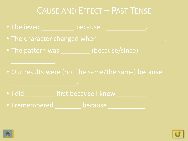### CAUSE AND EFFECT – PAST TENSE

- I believed because I
- The character changed when
- The pattern was (because/since)
- Our results were (not the same/the same) because

- I did \_\_\_\_\_\_\_\_\_\_\_ first because I knew
- I remembered because

<span id="page-11-0"></span>

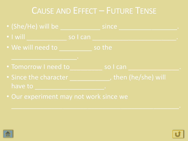## CAUSE AND EFFECT – FUTURE TENSE

- (She/He) will be \_\_\_\_\_\_\_\_\_\_\_ since \_\_\_\_\_\_\_\_\_\_\_\_\_\_\_\_. • I will so I can • We will need to so the • Tomorrow I need to so I can • Since the character \_\_\_\_\_\_\_\_\_\_\_, then (he/she) will have to
- Our experiment may not work since we

<span id="page-12-0"></span>

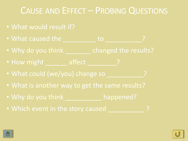## CAUSE AND EFFECT – PROBING QUESTIONS

- What would result if?
- What caused the to the to the set of  $\mathbb{R}^2$
- Why do you think \_\_\_\_\_\_\_ changed the results?
- How might \_\_\_\_\_\_ affect ?
- What could (we/you) change so \_\_\_\_\_\_\_\_\_\_?
- What is another way to get the same results?
- Why do you think happened?
- Which event in the story caused **Participate 19**

<span id="page-13-0"></span>

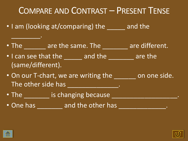COMPARE AND CONTRAST – PRESENT TENSE

- I am (looking at/comparing) the and the
- The \_etcomecries are the same. The Letter are different.
- I can see that the \_\_\_\_\_\_ and the \_\_\_\_\_\_\_ are the (same/different).
- On our T-chart, we are writing the endless on one side. The other side has \_\_\_\_\_\_\_\_\_\_\_\_\_\_\_\_.
- The \_\_\_\_\_\_\_ is changing because \_\_\_\_\_\_\_\_\_\_\_\_\_\_\_\_\_\_.
- One has early and the other has the strain of the strain of the strain of the strain of the strain of the str

<span id="page-14-0"></span>

 $\overline{\phantom{a}}$  . The set of  $\overline{\phantom{a}}$ 

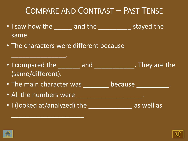## COMPARE AND CONTRAST – PAST TENSE

- I saw how the \_\_\_\_\_\_ and the \_\_\_\_\_\_\_\_\_\_\_ stayed the same.
- The characters were different because
- I compared the \_\_\_\_\_\_\_ and \_\_\_\_\_\_\_\_\_\_\_\_\_. They are the (same/different).
- The main character was because the main character was
- All the numbers were \_\_\_\_\_\_\_\_\_\_\_\_\_\_\_\_\_\_\_.

\_\_\_\_\_\_\_\_\_\_\_\_\_\_\_.

• I (looked at/analyzed) the as well as

\_\_\_\_\_\_\_\_\_\_\_\_\_\_\_\_\_\_\_\_.

<span id="page-15-0"></span>

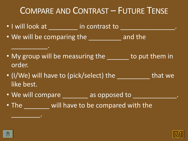## COMPARE AND CONTRAST – FUTURE TENSE

• I will look at \_\_\_\_\_\_\_\_ in contrast to \_\_\_\_\_\_\_\_\_\_\_\_\_\_\_.

\_\_\_\_\_\_\_\_\_\_.

 $\overline{\phantom{a}}$  . The set of  $\overline{\phantom{a}}$ 

- We will be comparing the \_\_\_\_\_\_\_\_\_ and the
- My group will be measuring the same to put them in order.
- (I/We) will have to (pick/select) the which that we like best.
- We will compare \_\_\_\_\_\_\_ as opposed to \_\_\_\_\_\_\_\_\_\_\_\_.
- The will have to be compared with the

<span id="page-16-0"></span>

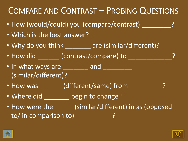

<span id="page-17-0"></span>

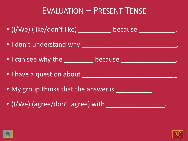## EVALUATION – PRESENT TENSE

- (I/We) (like/don't like) \_\_\_\_\_\_\_\_\_ because \_\_\_\_\_\_\_\_\_\_. • I don't understand why \_\_\_\_\_\_\_\_\_\_\_\_\_\_\_\_\_\_\_\_\_\_\_\_\_\_. • I can see why the <u>secause</u> because **with the secause**. • I have a question about • My group thinks that the answer is **Way and Allen Contains**.
- (I/We) (agree/don't agree) with \_\_\_\_\_\_\_\_\_\_\_\_\_\_\_\_.

<span id="page-18-0"></span>

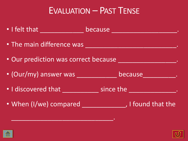### EVALUATION – PAST TENSE



<span id="page-19-0"></span>

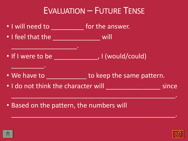## EVALUATION – FUTURE TENSE

- I will need to **will need to will need to will need to will answer.**
- I feel that the will

\_\_\_\_\_\_\_\_\_\_\_\_\_\_\_\_\_\_.

\_\_\_\_\_\_\_\_\_.

- If I were to be \_\_\_\_\_\_\_\_\_\_\_\_\_, I (would/could)
- We have to **we have to to keep the same pattern.**

\_\_\_\_\_\_\_\_\_\_\_\_\_\_\_\_\_\_\_\_\_\_\_\_\_\_\_\_\_\_\_\_\_\_\_\_\_\_\_\_\_\_\_\_\_.

\_\_\_\_\_\_\_\_\_\_\_\_\_\_\_\_\_\_\_\_\_\_\_\_\_\_\_\_\_\_\_\_\_\_\_\_\_\_\_\_\_\_\_\_\_.

- I do not think the character will since
	-

• Based on the pattern, the numbers will

<span id="page-20-0"></span>

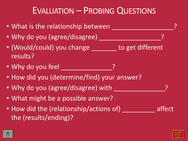## EVALUATION – PROBING QUESTIONS

- What is the relationship between
- Why do you (agree/disagree)
- (Would/could) you change to get different results?
- Why do you feel **with any control**
- How did you (determine/find) your answer?
- Why do you (agree/disagree) with
- What might be a possible answer?
- How did the (relationship/actions of) affect the (results/ending)?

<span id="page-21-0"></span>

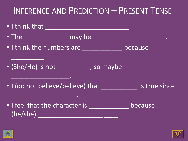## INFERENCE AND PREDICTION – PRESENT TENSE

• I think that \_\_\_\_\_\_\_\_\_\_\_\_\_\_\_\_\_\_\_\_\_\_\_. • The \_\_\_\_\_\_\_\_\_\_\_\_\_\_\_ may be \_\_\_\_\_\_\_\_\_\_\_\_\_\_\_\_\_\_\_\_\_\_\_\_. • I think the numbers are \_\_\_\_\_\_\_\_\_\_\_\_ because \_\_\_\_\_\_\_\_\_. • (She/He) is not \_\_\_\_\_\_\_\_\_, so maybe \_\_\_\_\_\_\_\_\_\_\_\_\_\_\_\_. • I (do not believe/believe) that is true since  $\overline{\phantom{a}}$  , where  $\overline{\phantom{a}}$  , where  $\overline{\phantom{a}}$  , where  $\overline{\phantom{a}}$ • I feel that the character is \_\_\_\_\_\_\_\_\_\_\_\_ because  $(he/she)$   $\qquad \qquad \qquad$ 

<span id="page-22-0"></span>

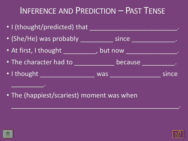## INFERENCE AND PREDICTION – PAST TENSE

| • I (thought/predicted) that |           |       |
|------------------------------|-----------|-------|
| • (She/He) was probably      | since     |       |
| • At first, I thought        | , but now |       |
| . The character had to       | because   | ۰     |
| · I thought                  | was       | since |

\_\_\_\_\_\_\_\_\_\_\_\_\_\_\_\_\_\_\_\_\_\_\_\_\_\_\_\_\_\_\_\_\_\_\_\_\_\_\_\_\_\_\_\_\_\_.

• The (happiest/scariest) moment was when

<span id="page-23-0"></span>

\_\_\_\_\_\_\_\_\_.

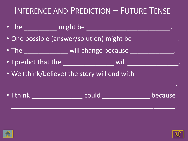## INFERENCE AND PREDICTION – FUTURE TENSE



<span id="page-24-0"></span>

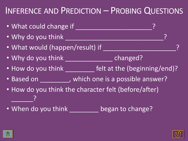## INFERENCE AND PREDICTION – PROBING QUESTIONS



<span id="page-25-0"></span>

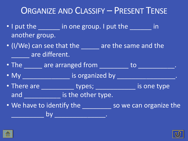## ORGANIZE AND CLASSIFY – PRESENT TENSE

- I put the in one group. I put the in another group.
- (I/We) can see that the \_\_\_\_\_ are the same and the **Lackson are different.**
- The \_ \_ \_ are arranged from \_ \_ \_ \_ to \_ \_ \_ \_ \_ \_ \_ .
- My \_\_\_\_\_\_\_\_\_\_\_\_\_\_\_\_\_ is organized by \_\_\_\_\_\_\_\_\_\_\_\_\_\_\_\_\_\_\_\_.
- There are \_\_\_\_\_\_\_\_\_\_\_\_\_ types; \_\_\_\_\_\_\_\_\_\_\_\_\_\_ is one type and \_\_\_\_\_\_\_\_\_\_\_\_\_ is the other type.
- We have to identify the subset of so we can organize the \_\_\_\_\_\_\_\_\_ by \_\_\_\_\_\_\_\_\_\_\_\_\_\_.

<span id="page-26-0"></span>

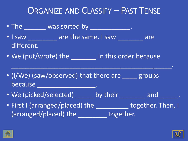## ORGANIZE AND CLASSIFY – PAST TENSE

• The was sorted by which was sorted by the state of the state of the state of the state of the state of the state of the state of the state of the state of the state of the state of the state of the state of the state of • I saw \_\_\_\_\_\_\_\_ are the same. I saw \_\_\_\_\_\_ are different. • We (put/wrote) the \_\_\_\_\_\_\_ in this order because \_\_\_\_\_\_\_\_\_\_\_\_\_\_\_\_\_\_\_\_\_\_\_\_\_\_\_\_\_\_\_\_\_\_\_\_\_\_\_\_\_\_\_\_. • (I/We) (saw/observed) that there are groups because \_\_\_\_\_\_\_\_\_\_\_\_\_\_\_\_\_\_\_\_\_\_\_. • We (picked/selected) \_\_\_\_\_ by their \_\_\_\_\_\_ and \_\_\_\_\_. • First I (arranged/placed) the \_\_\_\_\_\_\_\_\_\_ together. Then, I (arranged/placed) the together.

<span id="page-27-0"></span>

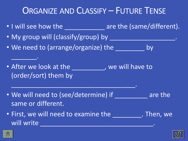## ORGANIZE AND CLASSIFY – FUTURE TENSE

- I will see how the \_\_\_\_\_\_\_\_\_\_\_\_\_\_\_ are the (same/different).
- My group will (classify/group) by \_\_\_\_\_\_\_\_\_\_\_\_\_\_\_\_\_\_.
- We need to (arrange/organize) the entirely by
- After we look at the summary we will have to (order/sort) them by

\_\_\_\_\_\_\_\_\_\_\_\_\_\_\_\_\_\_\_\_\_\_\_\_\_\_\_\_\_\_\_\_\_\_.

- We will need to (see/determine) if The Large the same or different.
- First, we will need to examine the \_\_\_\_\_\_\_\_. Then, we will write

<span id="page-28-0"></span>

\_\_\_\_\_\_\_.

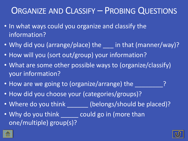### ORGANIZE AND CLASSIFY – PROBING QUESTIONS

- In what ways could you organize and classify the information?
- Why did you (arrange/place) the in that (manner/way)?
- How will you (sort out/group) your information?
- What are some other possible ways to (organize/classify) your information?
- How are we going to (organize/arrange) the
- How did you choose your (categories/groups)?
- Where do you think \_\_\_\_\_\_ (belongs/should be placed)?
- Why do you think could go in (more than one/multiple) group(s)?

<span id="page-29-0"></span>

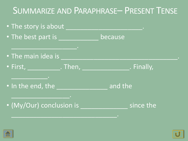## SUMMARIZE AND PARAPHRASE– PRESENT TENSE



<span id="page-30-0"></span>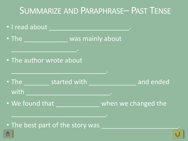## SUMMARIZE AND PARAPHRASE– PAST TENSE



• [T](#page-3-0)he best part of the story was

<span id="page-31-0"></span>

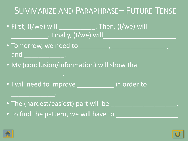## SUMMARIZE AND PARAPHRASE– FUTURE TENSE

- First, (I/we) will First, (I/we) will . Finally, (I/we) will
- Tomorrow, we need to \_\_\_\_\_\_\_, \_\_\_\_\_\_\_\_ and \_\_\_\_\_\_\_\_\_\_\_\_\_.
- My (conclusion/information) will show that
- I will need to improve in order to
- The (hardest/easiest) part will be
- To find the pattern, we will have to

<span id="page-32-0"></span>